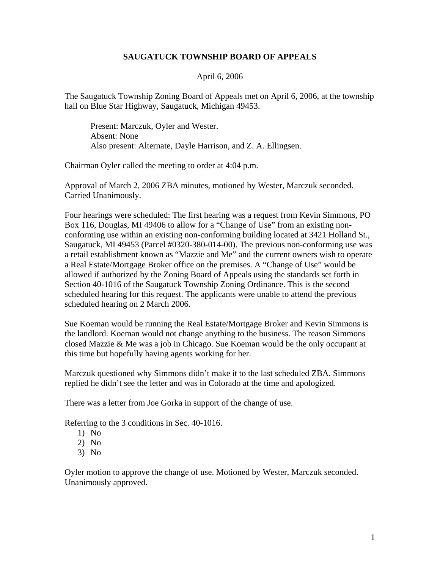## **SAUGATUCK TOWNSHIP BOARD OF APPEALS**

## April 6, 2006

The Saugatuck Township Zoning Board of Appeals met on April 6, 2006, at the township hall on Blue Star Highway, Saugatuck, Michigan 49453.

Present: Marczuk, Oyler and Wester. Absent: None Also present: Alternate, Dayle Harrison, and Z. A. Ellingsen.

Chairman Oyler called the meeting to order at 4:04 p.m.

Approval of March 2, 2006 ZBA minutes, motioned by Wester, Marczuk seconded. Carried Unanimously.

Four hearings were scheduled: The first hearing was a request from Kevin Simmons, PO Box 116, Douglas, MI 49406 to allow for a "Change of Use" from an existing nonconforming use within an existing non-conforming building located at 3421 Holland St., Saugatuck, MI 49453 (Parcel #0320-380-014-00). The previous non-conforming use was a retail establishment known as "Mazzie and Me" and the current owners wish to operate a Real Estate/Mortgage Broker office on the premises. A "Change of Use" would be allowed if authorized by the Zoning Board of Appeals using the standards set forth in Section 40-1016 of the Saugatuck Township Zoning Ordinance. This is the second scheduled hearing for this request. The applicants were unable to attend the previous scheduled hearing on 2 March 2006.

Sue Koeman would be running the Real Estate/Mortgage Broker and Kevin Simmons is the landlord. Koeman would not change anything to the business. The reason Simmons closed Mazzie & Me was a job in Chicago. Sue Koeman would be the only occupant at this time but hopefully having agents working for her.

Marczuk questioned why Simmons didn't make it to the last scheduled ZBA. Simmons replied he didn't see the letter and was in Colorado at the time and apologized.

There was a letter from Joe Gorka in support of the change of use.

Referring to the 3 conditions in Sec. 40-1016.

- 1) No
- 2) No
- 3) No

Oyler motion to approve the change of use. Motioned by Wester, Marczuk seconded. Unanimously approved.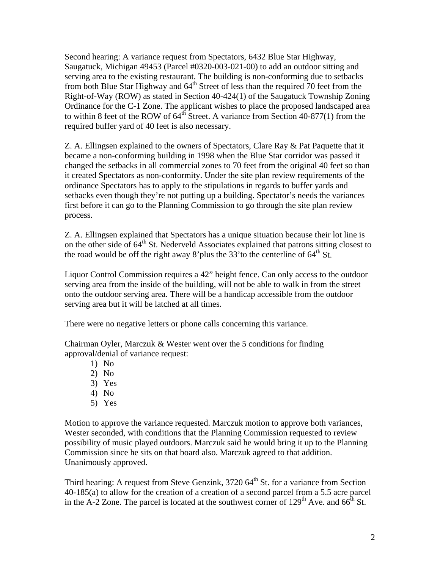Second hearing: A variance request from Spectators, 6432 Blue Star Highway, Saugatuck, Michigan 49453 (Parcel #0320-003-021-00) to add an outdoor sitting and serving area to the existing restaurant. The building is non-conforming due to setbacks from both Blue Star Highway and  $64<sup>th</sup>$  Street of less than the required 70 feet from the Right-of-Way (ROW) as stated in Section 40-424(1) of the Saugatuck Township Zoning Ordinance for the C-1 Zone. The applicant wishes to place the proposed landscaped area to within 8 feet of the ROW of  $64<sup>th</sup>$  Street. A variance from Section 40-877(1) from the required buffer yard of 40 feet is also necessary.

Z. A. Ellingsen explained to the owners of Spectators, Clare Ray & Pat Paquette that it became a non-conforming building in 1998 when the Blue Star corridor was passed it changed the setbacks in all commercial zones to 70 feet from the original 40 feet so than it created Spectators as non-conformity. Under the site plan review requirements of the ordinance Spectators has to apply to the stipulations in regards to buffer yards and setbacks even though they're not putting up a building. Spectator's needs the variances first before it can go to the Planning Commission to go through the site plan review process.

Z. A. Ellingsen explained that Spectators has a unique situation because their lot line is on the other side of  $64<sup>th</sup>$  St. Nederveld Associates explained that patrons sitting closest to the road would be off the right away 8'plus the  $33'$  to the centerline of  $64<sup>th</sup>$  St.

Liquor Control Commission requires a 42" height fence. Can only access to the outdoor serving area from the inside of the building, will not be able to walk in from the street onto the outdoor serving area. There will be a handicap accessible from the outdoor serving area but it will be latched at all times.

There were no negative letters or phone calls concerning this variance.

Chairman Oyler, Marczuk  $&$  Wester went over the 5 conditions for finding approval/denial of variance request:

- 1) No
- 2) No
- 3) Yes
- 4) No
- 5) Yes

Motion to approve the variance requested. Marczuk motion to approve both variances, Wester seconded, with conditions that the Planning Commission requested to review possibility of music played outdoors. Marczuk said he would bring it up to the Planning Commission since he sits on that board also. Marczuk agreed to that addition. Unanimously approved.

Third hearing: A request from Steve Genzink,  $3720.64^{\text{th}}$  St. for a variance from Section 40-185(a) to allow for the creation of a creation of a second parcel from a 5.5 acre parcel in the A-2 Zone. The parcel is located at the southwest corner of  $129<sup>th</sup>$  Ave. and 66<sup>th</sup> St.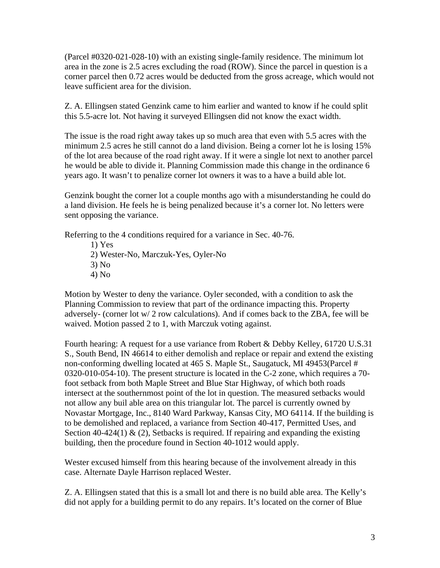(Parcel #0320-021-028-10) with an existing single-family residence. The minimum lot area in the zone is 2.5 acres excluding the road (ROW). Since the parcel in question is a corner parcel then 0.72 acres would be deducted from the gross acreage, which would not leave sufficient area for the division.

Z. A. Ellingsen stated Genzink came to him earlier and wanted to know if he could split this 5.5-acre lot. Not having it surveyed Ellingsen did not know the exact width.

The issue is the road right away takes up so much area that even with 5.5 acres with the minimum 2.5 acres he still cannot do a land division. Being a corner lot he is losing 15% of the lot area because of the road right away. If it were a single lot next to another parcel he would be able to divide it. Planning Commission made this change in the ordinance 6 years ago. It wasn't to penalize corner lot owners it was to a have a build able lot.

Genzink bought the corner lot a couple months ago with a misunderstanding he could do a land division. He feels he is being penalized because it's a corner lot. No letters were sent opposing the variance.

Referring to the 4 conditions required for a variance in Sec. 40-76.

1) Yes 2) Wester-No, Marczuk-Yes, Oyler-No 3) No 4) No

Motion by Wester to deny the variance. Oyler seconded, with a condition to ask the Planning Commission to review that part of the ordinance impacting this. Property adversely- (corner lot w/ 2 row calculations). And if comes back to the ZBA, fee will be waived. Motion passed 2 to 1, with Marczuk voting against.

Fourth hearing: A request for a use variance from Robert & Debby Kelley, 61720 U.S.31 S., South Bend, IN 46614 to either demolish and replace or repair and extend the existing non-conforming dwelling located at 465 S. Maple St., Saugatuck, MI 49453(Parcel # 0320-010-054-10). The present structure is located in the C-2 zone, which requires a 70 foot setback from both Maple Street and Blue Star Highway, of which both roads intersect at the southernmost point of the lot in question. The measured setbacks would not allow any buil able area on this triangular lot. The parcel is currently owned by Novastar Mortgage, Inc., 8140 Ward Parkway, Kansas City, MO 64114. If the building is to be demolished and replaced, a variance from Section 40-417, Permitted Uses, and Section 40-424(1)  $\&$  (2), Setbacks is required. If repairing and expanding the existing building, then the procedure found in Section 40-1012 would apply.

Wester excused himself from this hearing because of the involvement already in this case. Alternate Dayle Harrison replaced Wester.

Z. A. Ellingsen stated that this is a small lot and there is no build able area. The Kelly's did not apply for a building permit to do any repairs. It's located on the corner of Blue